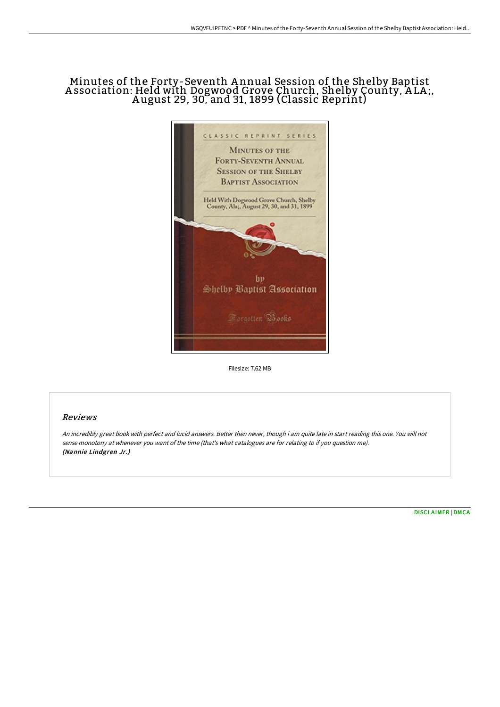# Minutes of the Forty-Seventh A nnual Session of the Shelby Baptist A ssociation: Held with Dogwood Grove Church, Shelby County, A LA ;, A ugust 29, 30, and 31, 1899 (Classic Reprint)



Filesize: 7.62 MB

## Reviews

An incredibly great book with perfect and lucid answers. Better then never, though i am quite late in start reading this one. You will not sense monotony at whenever you want of the time (that's what catalogues are for relating to if you question me). (Nannie Lindgren Jr.)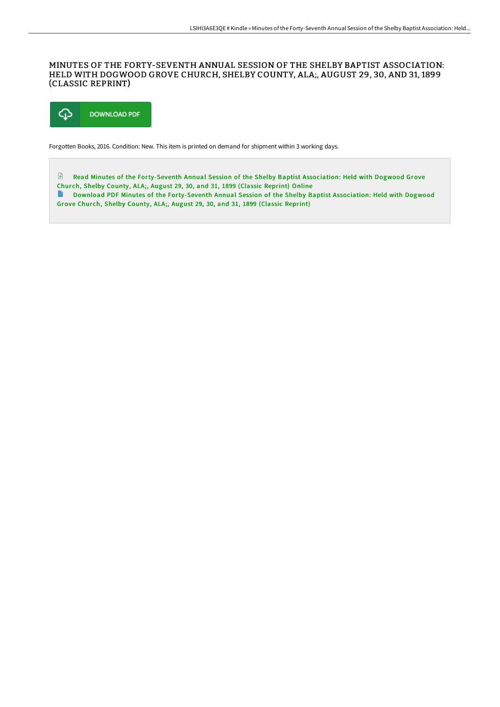### MINUTES OF THE FORTY-SEVENTH ANNUAL SESSION OF THE SHELBY BAPTIST ASSOCIATION: HELD WITH DOGWOOD GROVE CHURCH, SHELBY COUNTY, ALA;, AUGUST 29, 30, AND 31, 1899 (CLASSIC REPRINT)



Forgotten Books, 2016. Condition: New. This item is printed on demand for shipment within 3 working days.

 $\Box$ Read Minutes of the [Forty-Seventh](http://www.bookdirs.com/minutes-of-the-forty-seventh-annual-session-of-t-5.html) Annual Session of the Shelby Baptist Association: Held with Dogwood Grove Chur ch, Shelby County, ALA;, August 29, 30, and 31, 1899 (Classic Reprint) Online Download PDF Minutes of the [Forty-Seventh](http://www.bookdirs.com/minutes-of-the-forty-seventh-annual-session-of-t-5.html) Annual Session of the Shelby Baptist Association: Held with Dogwood

Grove Church, Shelby County, ALA;, August 29, 30, and 31, 1899 (Classic Reprint)